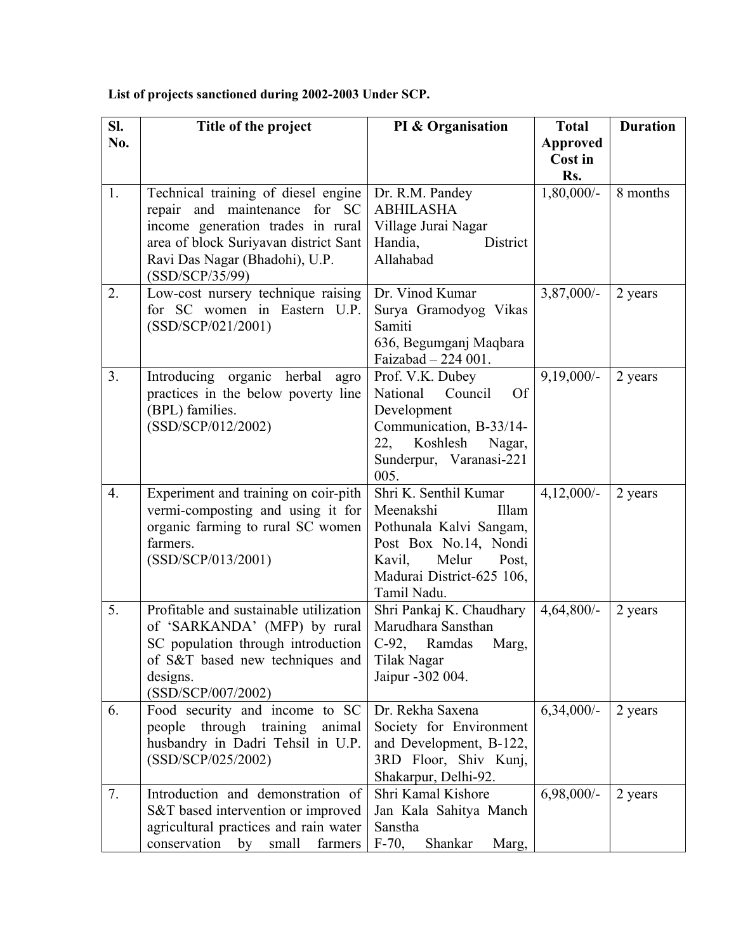## **List of projects sanctioned during 2002-2003 Under SCP.**

| SI. | Title of the project                                                       | PI & Organisation                                | <b>Total</b>    | <b>Duration</b> |
|-----|----------------------------------------------------------------------------|--------------------------------------------------|-----------------|-----------------|
| No. |                                                                            |                                                  | <b>Approved</b> |                 |
|     |                                                                            |                                                  | Cost in<br>Rs.  |                 |
| 1.  | Technical training of diesel engine                                        | Dr. R.M. Pandey                                  | $1,80,000/-$    | 8 months        |
|     | repair and maintenance for SC                                              | <b>ABHILASHA</b>                                 |                 |                 |
|     | income generation trades in rural<br>area of block Suriyavan district Sant | Village Jurai Nagar<br>Handia,<br>District       |                 |                 |
|     | Ravi Das Nagar (Bhadohi), U.P.                                             | Allahabad                                        |                 |                 |
|     | (SSD/SCP/35/99)                                                            |                                                  |                 |                 |
| 2.  | Low-cost nursery technique raising                                         | Dr. Vinod Kumar                                  | $3,87,000/-$    | 2 years         |
|     | for SC women in Eastern U.P.                                               | Surya Gramodyog Vikas                            |                 |                 |
|     | (SSD/SCP/021/2001)                                                         | Samiti                                           |                 |                 |
|     |                                                                            | 636, Begumganj Maqbara                           |                 |                 |
| 3.  | Introducing organic herbal agro                                            | Faizabad - 224 001.<br>Prof. V.K. Dubey          | $9,19,000/-$    | 2 years         |
|     | practices in the below poverty line                                        | National<br>Council<br><b>Of</b>                 |                 |                 |
|     | (BPL) families.                                                            | Development                                      |                 |                 |
|     | (SSD/SCP/012/2002)                                                         | Communication, B-33/14-                          |                 |                 |
|     |                                                                            | 22,<br>Koshlesh<br>Nagar,                        |                 |                 |
|     |                                                                            | Sunderpur, Varanasi-221                          |                 |                 |
|     |                                                                            | 005.                                             |                 |                 |
| 4.  | Experiment and training on coir-pith                                       | Shri K. Senthil Kumar                            | $4,12,000/-$    | 2 years         |
|     | vermi-composting and using it for                                          | Meenakshi<br>Illam                               |                 |                 |
|     | organic farming to rural SC women<br>farmers.                              | Pothunala Kalvi Sangam,<br>Post Box No.14, Nondi |                 |                 |
|     | (SSD/SCP/013/2001)                                                         | Melur<br>Kavil,<br>Post,                         |                 |                 |
|     |                                                                            | Madurai District-625 106,                        |                 |                 |
|     |                                                                            | Tamil Nadu.                                      |                 |                 |
| 5.  | Profitable and sustainable utilization                                     | Shri Pankaj K. Chaudhary                         | $4,64,800/-$    | 2 years         |
|     | of 'SARKANDA' (MFP) by rural                                               | Marudhara Sansthan                               |                 |                 |
|     | SC population through introduction                                         | C-92, Ramdas<br>Marg,                            |                 |                 |
|     | of S&T based new techniques and                                            | Tilak Nagar                                      |                 |                 |
|     | designs.<br>(SSD/SCP/007/2002)                                             | Jaipur -302 004.                                 |                 |                 |
| 6.  | Food security and income to SC                                             | Dr. Rekha Saxena                                 | $6,34,000/-$    | 2 years         |
|     | through<br>training<br>people<br>animal                                    | Society for Environment                          |                 |                 |
|     | husbandry in Dadri Tehsil in U.P.                                          | and Development, B-122,                          |                 |                 |
|     | (SSD/SCP/025/2002)                                                         | 3RD Floor, Shiv Kunj,                            |                 |                 |
|     |                                                                            | Shakarpur, Delhi-92.<br>Shri Kamal Kishore       |                 |                 |
| 7.  | Introduction and demonstration of<br>S&T based intervention or improved    | Jan Kala Sahitya Manch                           | $6,98,000/-$    | 2 years         |
|     | agricultural practices and rain water                                      | Sanstha                                          |                 |                 |
|     | conservation<br>farmers<br>small<br>by                                     | $F-70$ ,<br>Shankar<br>Marg,                     |                 |                 |